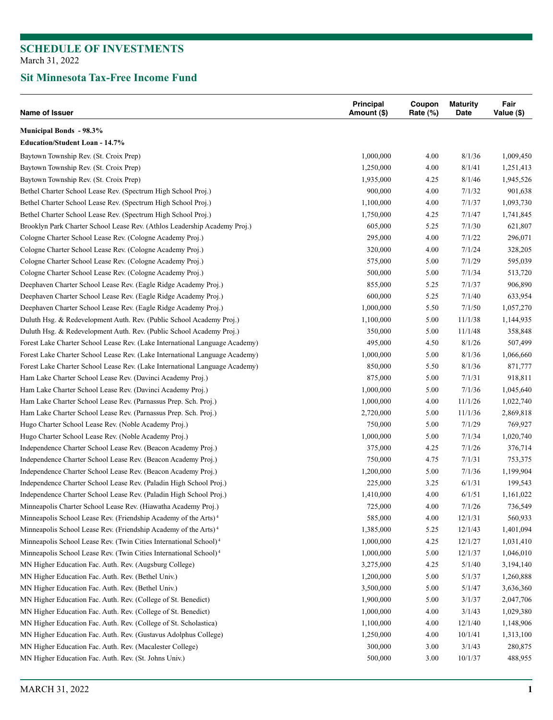### **Sit Minnesota Tax-Free Income Fund**

| Name of Issuer                                                                | Principal<br>Amount (\$) | Coupon<br>Rate $(\%)$ | <b>Maturity</b><br>Date | Fair<br>Value (\$) |
|-------------------------------------------------------------------------------|--------------------------|-----------------------|-------------------------|--------------------|
| <b>Municipal Bonds - 98.3%</b>                                                |                          |                       |                         |                    |
| <b>Education/Student Loan - 14.7%</b>                                         |                          |                       |                         |                    |
| Baytown Township Rev. (St. Croix Prep)                                        | 1,000,000                | 4.00                  | 8/1/36                  | 1,009,450          |
| Baytown Township Rev. (St. Croix Prep)                                        | 1,250,000                | 4.00                  | 8/1/41                  | 1,251,413          |
| Baytown Township Rev. (St. Croix Prep)                                        | 1,935,000                | 4.25                  | 8/1/46                  | 1,945,526          |
| Bethel Charter School Lease Rev. (Spectrum High School Proj.)                 | 900,000                  | 4.00                  | 7/1/32                  | 901,638            |
| Bethel Charter School Lease Rev. (Spectrum High School Proj.)                 | 1,100,000                | 4.00                  | 7/1/37                  | 1,093,730          |
| Bethel Charter School Lease Rev. (Spectrum High School Proj.)                 | 1,750,000                | 4.25                  | 7/1/47                  | 1,741,845          |
| Brooklyn Park Charter School Lease Rev. (Athlos Leadership Academy Proj.)     | 605,000                  | 5.25                  | 7/1/30                  | 621,807            |
| Cologne Charter School Lease Rev. (Cologne Academy Proj.)                     | 295,000                  | 4.00                  | 7/1/22                  | 296,071            |
| Cologne Charter School Lease Rev. (Cologne Academy Proj.)                     | 320,000                  | 4.00                  | 7/1/24                  | 328,205            |
| Cologne Charter School Lease Rev. (Cologne Academy Proj.)                     | 575,000                  | 5.00                  | 7/1/29                  | 595,039            |
| Cologne Charter School Lease Rev. (Cologne Academy Proj.)                     | 500,000                  | 5.00                  | 7/1/34                  | 513,720            |
| Deephaven Charter School Lease Rev. (Eagle Ridge Academy Proj.)               | 855,000                  | 5.25                  | 7/1/37                  | 906,890            |
| Deephaven Charter School Lease Rev. (Eagle Ridge Academy Proj.)               | 600,000                  | 5.25                  | 7/1/40                  | 633,954            |
| Deephaven Charter School Lease Rev. (Eagle Ridge Academy Proj.)               | 1,000,000                | 5.50                  | 7/1/50                  | 1,057,270          |
| Duluth Hsg. & Redevelopment Auth. Rev. (Public School Academy Proj.)          | 1,100,000                | 5.00                  | 11/1/38                 | 1,144,935          |
| Duluth Hsg. & Redevelopment Auth. Rev. (Public School Academy Proj.)          | 350,000                  | 5.00                  | 11/1/48                 | 358,848            |
| Forest Lake Charter School Lease Rev. (Lake International Language Academy)   | 495,000                  | 4.50                  | 8/1/26                  | 507,499            |
| Forest Lake Charter School Lease Rev. (Lake International Language Academy)   | 1,000,000                | 5.00                  | 8/1/36                  | 1,066,660          |
| Forest Lake Charter School Lease Rev. (Lake International Language Academy)   | 850,000                  | 5.50                  | 8/1/36                  | 871,777            |
| Ham Lake Charter School Lease Rev. (Davinci Academy Proj.)                    | 875,000                  | 5.00                  | 7/1/31                  | 918,811            |
| Ham Lake Charter School Lease Rev. (Davinci Academy Proj.)                    | 1,000,000                | 5.00                  | 7/1/36                  | 1,045,640          |
| Ham Lake Charter School Lease Rev. (Parnassus Prep. Sch. Proj.)               | 1,000,000                | 4.00                  | 11/1/26                 | 1,022,740          |
| Ham Lake Charter School Lease Rev. (Parnassus Prep. Sch. Proj.)               | 2,720,000                | 5.00                  | 11/1/36                 | 2,869,818          |
| Hugo Charter School Lease Rev. (Noble Academy Proj.)                          | 750,000                  | 5.00                  | 7/1/29                  | 769,927            |
| Hugo Charter School Lease Rev. (Noble Academy Proj.)                          | 1,000,000                | 5.00                  | 7/1/34                  | 1,020,740          |
| Independence Charter School Lease Rev. (Beacon Academy Proj.)                 | 375,000                  | 4.25                  | 7/1/26                  | 376,714            |
| Independence Charter School Lease Rev. (Beacon Academy Proj.)                 | 750,000                  | 4.75                  | 7/1/31                  | 753,375            |
| Independence Charter School Lease Rev. (Beacon Academy Proj.)                 | 1,200,000                | 5.00                  | 7/1/36                  | 1,199,904          |
| Independence Charter School Lease Rev. (Paladin High School Proj.)            | 225,000                  | 3.25                  | 6/1/31                  | 199,543            |
| Independence Charter School Lease Rev. (Paladin High School Proj.)            | 1,410,000                | 4.00                  | 6/1/51                  | 1,161,022          |
| Minneapolis Charter School Lease Rev. (Hiawatha Academy Proj.)                | 725,000                  | 4.00                  | 7/1/26                  | 736,549            |
| Minneapolis School Lease Rev. (Friendship Academy of the Arts) <sup>4</sup>   | 585,000                  | 4.00                  | 12/1/31                 | 560,933            |
| Minneapolis School Lease Rev. (Friendship Academy of the Arts) <sup>4</sup>   | 1,385,000                | 5.25                  | 12/1/43                 | 1,401,094          |
| Minneapolis School Lease Rev. (Twin Cities International School) <sup>4</sup> | 1,000,000                | 4.25                  | 12/1/27                 | 1,031,410          |
| Minneapolis School Lease Rev. (Twin Cities International School) <sup>4</sup> | 1,000,000                | 5.00                  | 12/1/37                 | 1,046,010          |
| MN Higher Education Fac. Auth. Rev. (Augsburg College)                        | 3,275,000                | 4.25                  | 5/1/40                  | 3,194,140          |
| MN Higher Education Fac. Auth. Rev. (Bethel Univ.)                            | 1,200,000                | 5.00                  | 5/1/37                  | 1,260,888          |
| MN Higher Education Fac. Auth. Rev. (Bethel Univ.)                            | 3,500,000                | 5.00                  | 5/1/47                  | 3,636,360          |
| MN Higher Education Fac. Auth. Rev. (College of St. Benedict)                 | 1,900,000                | 5.00                  | 3/1/37                  | 2,047,706          |
| MN Higher Education Fac. Auth. Rev. (College of St. Benedict)                 | 1,000,000                | 4.00                  | 3/1/43                  | 1,029,380          |
| MN Higher Education Fac. Auth. Rev. (College of St. Scholastica)              | 1,100,000                | 4.00                  | 12/1/40                 | 1,148,906          |
| MN Higher Education Fac. Auth. Rev. (Gustavus Adolphus College)               | 1,250,000                | 4.00                  | 10/1/41                 | 1,313,100          |
| MN Higher Education Fac. Auth. Rev. (Macalester College)                      | 300,000                  | 3.00                  | 3/1/43                  | 280,875            |
| MN Higher Education Fac. Auth. Rev. (St. Johns Univ.)                         | 500,000                  | 3.00                  | 10/1/37                 | 488,955            |
|                                                                               |                          |                       |                         |                    |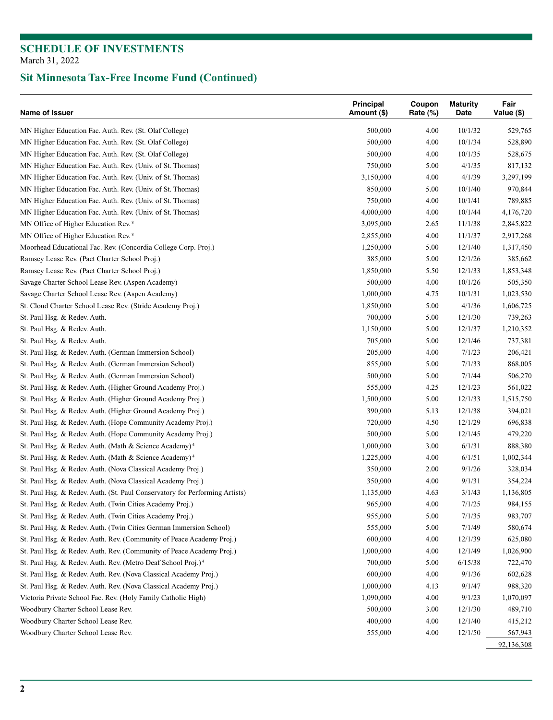| Name of Issuer                                                              | Principal<br>Amount (\$) | Coupon<br>Rate $(\%)$ | <b>Maturity</b><br>Date | Fair<br>Value (\$) |
|-----------------------------------------------------------------------------|--------------------------|-----------------------|-------------------------|--------------------|
| MN Higher Education Fac. Auth. Rev. (St. Olaf College)                      | 500,000                  | 4.00                  | 10/1/32                 | 529,765            |
| MN Higher Education Fac. Auth. Rev. (St. Olaf College)                      | 500,000                  | 4.00                  | 10/1/34                 | 528,890            |
| MN Higher Education Fac. Auth. Rev. (St. Olaf College)                      | 500,000                  | 4.00                  | 10/1/35                 | 528,675            |
| MN Higher Education Fac. Auth. Rev. (Univ. of St. Thomas)                   | 750,000                  | 5.00                  | 4/1/35                  | 817,132            |
| MN Higher Education Fac. Auth. Rev. (Univ. of St. Thomas)                   | 3,150,000                | 4.00                  | 4/1/39                  | 3,297,199          |
| MN Higher Education Fac. Auth. Rev. (Univ. of St. Thomas)                   | 850,000                  | 5.00                  | 10/1/40                 | 970,844            |
| MN Higher Education Fac. Auth. Rev. (Univ. of St. Thomas)                   | 750,000                  | 4.00                  | 10/1/41                 | 789,885            |
| MN Higher Education Fac. Auth. Rev. (Univ. of St. Thomas)                   | 4,000,000                | 4.00                  | 10/1/44                 | 4,176,720          |
| MN Office of Higher Education Rev. <sup>8</sup>                             | 3,095,000                | 2.65                  | 11/1/38                 | 2,845,822          |
| MN Office of Higher Education Rev. <sup>8</sup>                             | 2,855,000                | 4.00                  | 11/1/37                 | 2,917,268          |
| Moorhead Educational Fac. Rev. (Concordia College Corp. Proj.)              | 1,250,000                | 5.00                  | 12/1/40                 | 1,317,450          |
| Ramsey Lease Rev. (Pact Charter School Proj.)                               | 385,000                  | 5.00                  | 12/1/26                 | 385,662            |
| Ramsey Lease Rev. (Pact Charter School Proj.)                               | 1,850,000                | 5.50                  | 12/1/33                 | 1,853,348          |
| Savage Charter School Lease Rev. (Aspen Academy)                            | 500,000                  | 4.00                  | 10/1/26                 | 505,350            |
| Savage Charter School Lease Rev. (Aspen Academy)                            | 1,000,000                | 4.75                  | 10/1/31                 | 1,023,530          |
| St. Cloud Charter School Lease Rev. (Stride Academy Proj.)                  | 1,850,000                | 5.00                  | 4/1/36                  | 1,606,725          |
| St. Paul Hsg. & Redev. Auth.                                                | 700,000                  | 5.00                  | 12/1/30                 | 739,263            |
| St. Paul Hsg. & Redev. Auth.                                                | 1,150,000                | 5.00                  | 12/1/37                 | 1,210,352          |
| St. Paul Hsg. & Redev. Auth.                                                | 705,000                  | 5.00                  | 12/1/46                 | 737,381            |
| St. Paul Hsg. & Redev. Auth. (German Immersion School)                      | 205,000                  | 4.00                  | 7/1/23                  | 206,421            |
| St. Paul Hsg. & Redev. Auth. (German Immersion School)                      | 855,000                  | 5.00                  | 7/1/33                  | 868,005            |
| St. Paul Hsg. & Redev. Auth. (German Immersion School)                      | 500,000                  | 5.00                  | 7/1/44                  | 506,270            |
| St. Paul Hsg. & Redev. Auth. (Higher Ground Academy Proj.)                  | 555,000                  | 4.25                  | 12/1/23                 | 561,022            |
| St. Paul Hsg. & Redev. Auth. (Higher Ground Academy Proj.)                  | 1,500,000                | 5.00                  | 12/1/33                 | 1,515,750          |
| St. Paul Hsg. & Redev. Auth. (Higher Ground Academy Proj.)                  | 390,000                  | 5.13                  | 12/1/38                 | 394,021            |
| St. Paul Hsg. & Redev. Auth. (Hope Community Academy Proj.)                 | 720,000                  | 4.50                  | 12/1/29                 | 696,838            |
| St. Paul Hsg. & Redev. Auth. (Hope Community Academy Proj.)                 | 500,000                  | 5.00                  | 12/1/45                 | 479,220            |
| St. Paul Hsg. & Redev. Auth. (Math & Science Academy) <sup>4</sup>          | 1,000,000                | 3.00                  | 6/1/31                  | 888,380            |
| St. Paul Hsg. & Redev. Auth. (Math & Science Academy) <sup>4</sup>          | 1,225,000                | 4.00                  | 6/1/51                  | 1,002,344          |
| St. Paul Hsg. & Redev. Auth. (Nova Classical Academy Proj.)                 | 350,000                  | 2.00                  | 9/1/26                  | 328,034            |
| St. Paul Hsg. & Redev. Auth. (Nova Classical Academy Proj.)                 | 350,000                  | 4.00                  | 9/1/31                  | 354,224            |
| St. Paul Hsg. & Redev. Auth. (St. Paul Conservatory for Performing Artists) | 1,135,000                | 4.63                  | 3/1/43                  | 1,136,805          |
| St. Paul Hsg. & Redev. Auth. (Twin Cities Academy Proj.)                    | 965,000                  | 4.00                  | 7/1/25                  | 984,155            |
| St. Paul Hsg. & Redev. Auth. (Twin Cities Academy Proj.)                    | 955,000                  | 5.00                  | 7/1/35                  | 983,707            |
| St. Paul Hsg. & Redev. Auth. (Twin Cities German Immersion School)          | 555,000                  | 5.00                  | 7/1/49                  | 580,674            |
| St. Paul Hsg. & Redev. Auth. Rev. (Community of Peace Academy Proj.)        | 600,000                  | 4.00                  | 12/1/39                 | 625,080            |
| St. Paul Hsg. & Redev. Auth. Rev. (Community of Peace Academy Proj.)        | 1,000,000                | 4.00                  | 12/1/49                 | 1,026,900          |
| St. Paul Hsg. & Redev. Auth. Rev. (Metro Deaf School Proj.) <sup>4</sup>    | 700,000                  | 5.00                  | 6/15/38                 | 722,470            |
| St. Paul Hsg. & Redev. Auth. Rev. (Nova Classical Academy Proj.)            | 600,000                  | 4.00                  | 9/1/36                  | 602,628            |
| St. Paul Hsg. & Redev. Auth. Rev. (Nova Classical Academy Proj.)            | 1,000,000                | 4.13                  | 9/1/47                  | 988,320            |
| Victoria Private School Fac. Rev. (Holy Family Catholic High)               | 1,090,000                | 4.00                  | 9/1/23                  | 1,070,097          |
| Woodbury Charter School Lease Rev.                                          | 500,000                  | 3.00                  | 12/1/30                 | 489,710            |
| Woodbury Charter School Lease Rev.                                          | 400,000                  | 4.00                  | 12/1/40                 | 415,212            |
| Woodbury Charter School Lease Rev.                                          | 555,000                  | 4.00                  | 12/1/50                 | 567,943            |
|                                                                             |                          |                       |                         | 92,136,308         |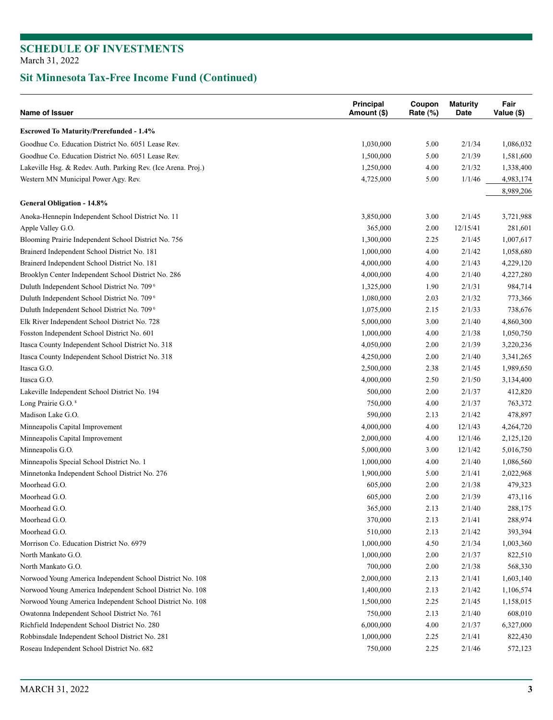| Principal<br>Name of Issuer<br>Amount (\$)                    |           | Coupon<br>Rate $(\%)$ | <b>Maturity</b><br>Date | Fair<br>Value (\$) |
|---------------------------------------------------------------|-----------|-----------------------|-------------------------|--------------------|
| <b>Escrowed To Maturity/Prerefunded - 1.4%</b>                |           |                       |                         |                    |
| Goodhue Co. Education District No. 6051 Lease Rev.            | 1,030,000 | 5.00                  | 2/1/34                  | 1,086,032          |
| Goodhue Co. Education District No. 6051 Lease Rev.            | 1,500,000 | 5.00                  | 2/1/39                  | 1,581,600          |
| Lakeville Hsg. & Redev. Auth. Parking Rev. (Ice Arena. Proj.) | 1,250,000 | 4.00                  | 2/1/32                  | 1,338,400          |
| Western MN Municipal Power Agy. Rev.                          | 4,725,000 | 5.00                  | 1/1/46                  | 4,983,174          |
|                                                               |           |                       |                         | 8,989,206          |
| General Obligation - 14.8%                                    |           |                       |                         |                    |
| Anoka-Hennepin Independent School District No. 11             | 3,850,000 | 3.00                  | 2/1/45                  | 3,721,988          |
| Apple Valley G.O.                                             | 365,000   | 2.00                  | 12/15/41                | 281,601            |
| Blooming Prairie Independent School District No. 756          | 1,300,000 | 2.25                  | 2/1/45                  | 1,007,617          |
| Brainerd Independent School District No. 181                  | 1,000,000 | 4.00                  | 2/1/42                  | 1,058,680          |
| Brainerd Independent School District No. 181                  | 4,000,000 | 4.00                  | 2/1/43                  | 4,229,120          |
| Brooklyn Center Independent School District No. 286           | 4,000,000 | 4.00                  | 2/1/40                  | 4,227,280          |
| Duluth Independent School District No. 709 <sup>6</sup>       | 1,325,000 | 1.90                  | 2/1/31                  | 984,714            |
| Duluth Independent School District No. 709 <sup>6</sup>       | 1,080,000 | 2.03                  | 2/1/32                  | 773,366            |
| Duluth Independent School District No. 709 <sup>6</sup>       | 1,075,000 | 2.15                  | 2/1/33                  | 738,676            |
| Elk River Independent School District No. 728                 | 5,000,000 | 3.00                  | 2/1/40                  | 4,860,300          |
| Fosston Independent School District No. 601                   | 1,000,000 | 4.00                  | 2/1/38                  | 1,050,750          |
| Itasca County Independent School District No. 318             | 4,050,000 | 2.00                  | 2/1/39                  | 3,220,236          |
| Itasca County Independent School District No. 318             | 4,250,000 | 2.00                  | 2/1/40                  | 3,341,265          |
| Itasca G.O.                                                   | 2,500,000 | 2.38                  | 2/1/45                  | 1,989,650          |
| Itasca G.O.                                                   | 4,000,000 | 2.50                  | 2/1/50                  | 3,134,400          |
| Lakeville Independent School District No. 194                 | 500,000   | 2.00                  | 2/1/37                  | 412,820            |
| Long Prairie G.O. <sup>8</sup>                                | 750,000   | 4.00                  | 2/1/37                  | 763,372            |
| Madison Lake G.O.                                             | 590,000   | 2.13                  | 2/1/42                  | 478,897            |
| Minneapolis Capital Improvement                               | 4,000,000 | 4.00                  | 12/1/43                 | 4,264,720          |
| Minneapolis Capital Improvement                               | 2,000,000 | 4.00                  | 12/1/46                 | 2,125,120          |
| Minneapolis G.O.                                              | 5,000,000 | 3.00                  | 12/1/42                 | 5,016,750          |
| Minneapolis Special School District No. 1                     | 1,000,000 | 4.00                  | 2/1/40                  | 1,086,560          |
| Minnetonka Independent School District No. 276                | 1,900,000 | 5.00                  | 2/1/41                  | 2,022,968          |
| Moorhead G.O.                                                 | 605,000   | 2.00                  | 2/1/38                  | 479,323            |
| Moorhead G.O.                                                 | 605,000   | 2.00                  | 2/1/39                  | 473,116            |
| Moorhead G.O.                                                 | 365,000   | 2.13                  | 2/1/40                  | 288,175            |
| Moorhead G.O.                                                 | 370,000   | 2.13                  | 2/1/41                  | 288,974            |
| Moorhead G.O.                                                 | 510,000   | 2.13                  | 2/1/42                  | 393,394            |
| Morrison Co. Education District No. 6979                      | 1,000,000 | 4.50                  | 2/1/34                  | 1,003,360          |
| North Mankato G.O.                                            | 1,000,000 | 2.00                  | 2/1/37                  | 822,510            |
| North Mankato G.O.                                            | 700,000   | 2.00                  | 2/1/38                  | 568,330            |
| Norwood Young America Independent School District No. 108     | 2,000,000 | 2.13                  | 2/1/41                  | 1,603,140          |
| Norwood Young America Independent School District No. 108     | 1,400,000 | 2.13                  | 2/1/42                  | 1,106,574          |
| Norwood Young America Independent School District No. 108     | 1,500,000 | 2.25                  | 2/1/45                  | 1,158,015          |
| Owatonna Independent School District No. 761                  | 750,000   | 2.13                  | 2/1/40                  | 608,010            |
| Richfield Independent School District No. 280                 | 6,000,000 | 4.00                  | 2/1/37                  | 6,327,000          |
| Robbinsdale Independent School District No. 281               | 1,000,000 | 2.25                  | 2/1/41                  | 822,430            |
| Roseau Independent School District No. 682                    | 750,000   | 2.25                  | 2/1/46                  | 572,123            |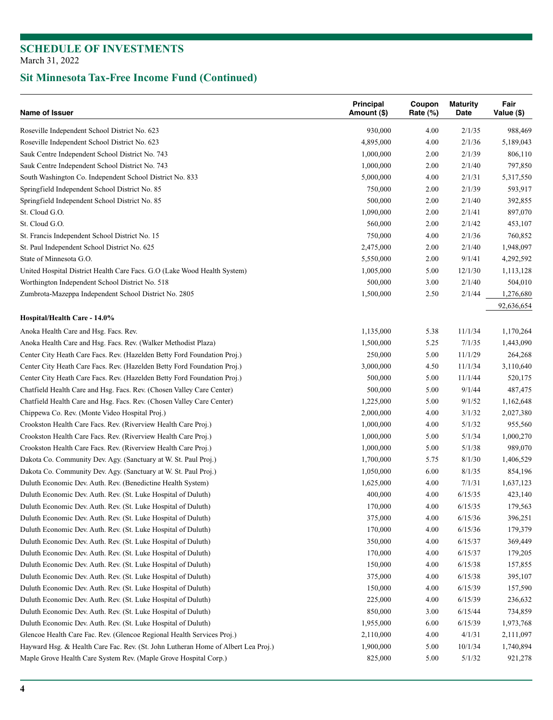| <b>Name of Issuer</b>                                                                                                              | Principal<br>Amount (\$) | Coupon<br>Rate $(\%)$ | <b>Maturity</b><br>Date | Fair<br>Value (\$) |
|------------------------------------------------------------------------------------------------------------------------------------|--------------------------|-----------------------|-------------------------|--------------------|
| Roseville Independent School District No. 623                                                                                      | 930,000                  | 4.00                  | 2/1/35                  | 988,469            |
| Roseville Independent School District No. 623                                                                                      | 4,895,000                | 4.00                  | 2/1/36                  | 5,189,043          |
| Sauk Centre Independent School District No. 743                                                                                    | 1,000,000                | 2.00                  | 2/1/39                  | 806,110            |
| Sauk Centre Independent School District No. 743                                                                                    | 1,000,000                | 2.00                  | 2/1/40                  | 797,850            |
| South Washington Co. Independent School District No. 833                                                                           | 5,000,000                | 4.00                  | 2/1/31                  | 5,317,550          |
| Springfield Independent School District No. 85                                                                                     | 750,000                  | 2.00                  | 2/1/39                  | 593,917            |
| Springfield Independent School District No. 85                                                                                     | 500,000                  | 2.00                  | 2/1/40                  | 392,855            |
| St. Cloud G.O.                                                                                                                     | 1,090,000                | 2.00                  | 2/1/41                  | 897,070            |
| St. Cloud G.O.                                                                                                                     | 560,000                  | 2.00                  | 2/1/42                  | 453,107            |
| St. Francis Independent School District No. 15                                                                                     | 750,000                  | 4.00                  | 2/1/36                  | 760,852            |
| St. Paul Independent School District No. 625                                                                                       | 2,475,000                | 2.00                  | 2/1/40                  | 1,948,097          |
| State of Minnesota G.O.                                                                                                            | 5,550,000                | 2.00                  | 9/1/41                  | 4,292,592          |
| United Hospital District Health Care Facs. G.O (Lake Wood Health System)                                                           | 1,005,000                | 5.00                  | 12/1/30                 | 1,113,128          |
| Worthington Independent School District No. 518                                                                                    | 500,000                  | 3.00                  | 2/1/40                  | 504,010            |
| Zumbrota-Mazeppa Independent School District No. 2805                                                                              | 1,500,000                | 2.50                  | 2/1/44                  | 1,276,680          |
|                                                                                                                                    |                          |                       |                         | 92,636,654         |
| Hospital/Health Care - 14.0%                                                                                                       |                          |                       |                         |                    |
| Anoka Health Care and Hsg. Facs. Rev.                                                                                              | 1,135,000                | 5.38                  | 11/1/34                 | 1,170,264          |
| Anoka Health Care and Hsg. Facs. Rev. (Walker Methodist Plaza)                                                                     | 1,500,000                | 5.25                  | 7/1/35                  | 1,443,090          |
| Center City Heath Care Facs. Rev. (Hazelden Betty Ford Foundation Proj.)                                                           | 250,000                  | 5.00                  | 11/1/29                 | 264,268            |
| Center City Heath Care Facs. Rev. (Hazelden Betty Ford Foundation Proj.)                                                           | 3,000,000                | 4.50                  | 11/1/34                 | 3,110,640          |
| Center City Heath Care Facs. Rev. (Hazelden Betty Ford Foundation Proj.)                                                           | 500,000                  | 5.00                  | 11/1/44                 | 520,175            |
| Chatfield Health Care and Hsg. Facs. Rev. (Chosen Valley Care Center)                                                              | 500,000                  | 5.00                  | 9/1/44                  | 487,475            |
| Chatfield Health Care and Hsg. Facs. Rev. (Chosen Valley Care Center)                                                              | 1,225,000                | 5.00                  | 9/1/52                  | 1,162,648          |
| Chippewa Co. Rev. (Monte Video Hospital Proj.)                                                                                     | 2,000,000                | 4.00                  | 3/1/32                  | 2,027,380          |
| Crookston Health Care Facs. Rev. (Riverview Health Care Proj.)                                                                     | 1,000,000                | 4.00                  | 5/1/32                  | 955,560            |
| Crookston Health Care Facs. Rev. (Riverview Health Care Proj.)                                                                     | 1,000,000                | 5.00                  | 5/1/34                  | 1,000,270          |
| Crookston Health Care Facs. Rev. (Riverview Health Care Proj.)                                                                     | 1,000,000                | 5.00                  | 5/1/38                  | 989,070            |
|                                                                                                                                    | 1,700,000                | 5.75                  | 8/1/30                  |                    |
| Dakota Co. Community Dev. Agy. (Sanctuary at W. St. Paul Proj.)<br>Dakota Co. Community Dev. Agy. (Sanctuary at W. St. Paul Proj.) |                          |                       |                         | 1,406,529          |
| Duluth Economic Dev. Auth. Rev. (Benedictine Health System)                                                                        | 1,050,000                | 6.00                  | 8/1/35                  | 854,196            |
|                                                                                                                                    | 1,625,000                | 4.00                  | 7/1/31                  | 1,637,123          |
| Duluth Economic Dev. Auth. Rev. (St. Luke Hospital of Duluth)                                                                      | 400,000                  | 4.00                  | 6/15/35                 | 423,140            |
| Duluth Economic Dev. Auth. Rev. (St. Luke Hospital of Duluth)                                                                      | 170,000                  | 4.00                  | 6/15/35                 | 179,563            |
| Duluth Economic Dev. Auth. Rev. (St. Luke Hospital of Duluth)                                                                      | 375,000                  | 4.00                  | 6/15/36                 | 396,251            |
| Duluth Economic Dev. Auth. Rev. (St. Luke Hospital of Duluth)                                                                      | 170,000                  | 4.00                  | 6/15/36                 | 179,379            |
| Duluth Economic Dev. Auth. Rev. (St. Luke Hospital of Duluth)                                                                      | 350,000                  | 4.00                  | 6/15/37                 | 369,449            |
| Duluth Economic Dev. Auth. Rev. (St. Luke Hospital of Duluth)                                                                      | 170,000                  | 4.00                  | 6/15/37                 | 179,205            |
| Duluth Economic Dev. Auth. Rev. (St. Luke Hospital of Duluth)                                                                      | 150,000                  | 4.00                  | 6/15/38                 | 157,855            |
| Duluth Economic Dev. Auth. Rev. (St. Luke Hospital of Duluth)                                                                      | 375,000                  | 4.00                  | 6/15/38                 | 395,107            |
| Duluth Economic Dev. Auth. Rev. (St. Luke Hospital of Duluth)                                                                      | 150,000                  | 4.00                  | 6/15/39                 | 157,590            |
| Duluth Economic Dev. Auth. Rev. (St. Luke Hospital of Duluth)                                                                      | 225,000                  | 4.00                  | 6/15/39                 | 236,632            |
| Duluth Economic Dev. Auth. Rev. (St. Luke Hospital of Duluth)                                                                      | 850,000                  | 3.00                  | 6/15/44                 | 734,859            |
| Duluth Economic Dev. Auth. Rev. (St. Luke Hospital of Duluth)                                                                      | 1,955,000                | 6.00                  | 6/15/39                 | 1,973,768          |
| Glencoe Health Care Fac. Rev. (Glencoe Regional Health Services Proj.)                                                             | 2,110,000                | 4.00                  | 4/1/31                  | 2,111,097          |
| Hayward Hsg. & Health Care Fac. Rev. (St. John Lutheran Home of Albert Lea Proj.)                                                  | 1,900,000                | 5.00                  | 10/1/34                 | 1,740,894          |
| Maple Grove Health Care System Rev. (Maple Grove Hospital Corp.)                                                                   | 825,000                  | 5.00                  | 5/1/32                  | 921,278            |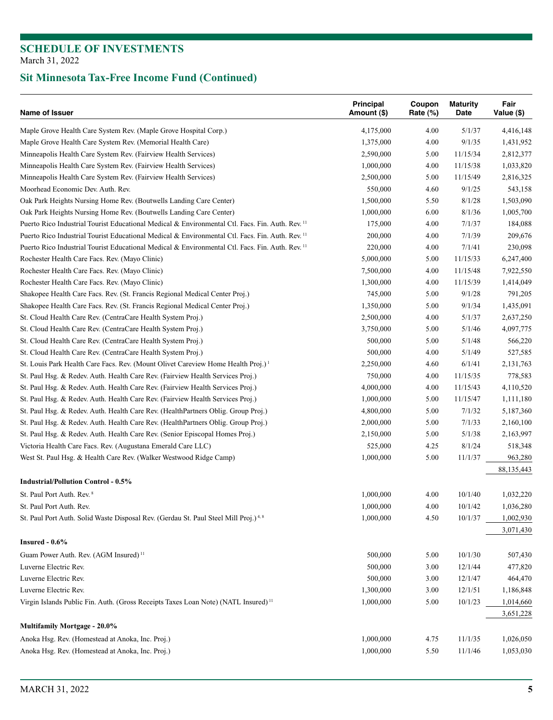| Name of Issuer                                                                                              | Principal<br>Amount (\$) | Coupon<br>Rate (%) | <b>Maturity</b><br>Date | Fair<br>Value (\$) |
|-------------------------------------------------------------------------------------------------------------|--------------------------|--------------------|-------------------------|--------------------|
| Maple Grove Health Care System Rev. (Maple Grove Hospital Corp.)                                            | 4,175,000                | 4.00               | 5/1/37                  | 4,416,148          |
| Maple Grove Health Care System Rev. (Memorial Health Care)                                                  | 1,375,000                | 4.00               | 9/1/35                  | 1,431,952          |
| Minneapolis Health Care System Rev. (Fairview Health Services)                                              | 2,590,000                | 5.00               | 11/15/34                | 2,812,377          |
| Minneapolis Health Care System Rev. (Fairview Health Services)                                              | 1,000,000                | 4.00               | 11/15/38                | 1,033,820          |
| Minneapolis Health Care System Rev. (Fairview Health Services)                                              | 2,500,000                | 5.00               | 11/15/49                | 2,816,325          |
| Moorhead Economic Dev. Auth. Rev.                                                                           | 550,000                  | 4.60               | 9/1/25                  | 543,158            |
| Oak Park Heights Nursing Home Rev. (Boutwells Landing Care Center)                                          | 1,500,000                | 5.50               | 8/1/28                  | 1,503,090          |
| Oak Park Heights Nursing Home Rev. (Boutwells Landing Care Center)                                          | 1,000,000                | 6.00               | 8/1/36                  | 1,005,700          |
| Puerto Rico Industrial Tourist Educational Medical & Environmental Ctl. Facs. Fin. Auth. Rev. <sup>11</sup> | 175,000                  | 4.00               | 7/1/37                  | 184,088            |
| Puerto Rico Industrial Tourist Educational Medical & Environmental Ctl. Facs. Fin. Auth. Rev. <sup>11</sup> | 200,000                  | 4.00               | 7/1/39                  | 209,676            |
| Puerto Rico Industrial Tourist Educational Medical & Environmental Ctl. Facs. Fin. Auth. Rev. <sup>11</sup> | 220,000                  | 4.00               | 7/1/41                  | 230,098            |
| Rochester Health Care Facs. Rev. (Mayo Clinic)                                                              | 5,000,000                | 5.00               | 11/15/33                | 6,247,400          |
| Rochester Health Care Facs. Rev. (Mayo Clinic)                                                              | 7,500,000                | 4.00               | 11/15/48                | 7,922,550          |
| Rochester Health Care Facs. Rev. (Mayo Clinic)                                                              | 1,300,000                | 4.00               | 11/15/39                | 1,414,049          |
| Shakopee Health Care Facs. Rev. (St. Francis Regional Medical Center Proj.)                                 | 745,000                  | 5.00               | 9/1/28                  | 791,205            |
| Shakopee Health Care Facs. Rev. (St. Francis Regional Medical Center Proj.)                                 | 1,350,000                | 5.00               | 9/1/34                  | 1,435,091          |
| St. Cloud Health Care Rev. (CentraCare Health System Proj.)                                                 | 2,500,000                | 4.00               | 5/1/37                  | 2,637,250          |
| St. Cloud Health Care Rev. (CentraCare Health System Proj.)                                                 | 3,750,000                | 5.00               | 5/1/46                  | 4,097,775          |
| St. Cloud Health Care Rev. (CentraCare Health System Proj.)                                                 | 500,000                  | 5.00               | 5/1/48                  | 566,220            |
| St. Cloud Health Care Rev. (CentraCare Health System Proj.)                                                 | 500,000                  | 4.00               | 5/1/49                  | 527,585            |
| St. Louis Park Health Care Facs. Rev. (Mount Olivet Careview Home Health Proj.) <sup>1</sup>                | 2,250,000                | 4.60               | 6/1/41                  | 2,131,763          |
| St. Paul Hsg. & Redev. Auth. Health Care Rev. (Fairview Health Services Proj.)                              | 750,000                  | 4.00               | 11/15/35                | 778,583            |
| St. Paul Hsg. & Redev. Auth. Health Care Rev. (Fairview Health Services Proj.)                              | 4,000,000                | 4.00               | 11/15/43                | 4,110,520          |
| St. Paul Hsg. & Redev. Auth. Health Care Rev. (Fairview Health Services Proj.)                              | 1,000,000                | 5.00               | 11/15/47                | 1,111,180          |
| St. Paul Hsg. & Redev. Auth. Health Care Rev. (HealthPartners Oblig. Group Proj.)                           | 4,800,000                | 5.00               | 7/1/32                  | 5,187,360          |
| St. Paul Hsg. & Redev. Auth. Health Care Rev. (HealthPartners Oblig. Group Proj.)                           | 2,000,000                | 5.00               | 7/1/33                  | 2,160,100          |
| St. Paul Hsg. & Redev. Auth. Health Care Rev. (Senior Episcopal Homes Proj.)                                | 2,150,000                | 5.00               | 5/1/38                  | 2,163,997          |
| Victoria Health Care Facs. Rev. (Augustana Emerald Care LLC)                                                | 525,000                  | 4.25               | 8/1/24                  | 518,348            |
| West St. Paul Hsg. & Health Care Rev. (Walker Westwood Ridge Camp)                                          | 1,000,000                | 5.00               | 11/1/37                 | 963,280            |
|                                                                                                             |                          |                    |                         | 88,135,443         |
| <b>Industrial/Pollution Control - 0.5%</b>                                                                  |                          |                    |                         |                    |
| St. Paul Port Auth. Rev. <sup>8</sup>                                                                       | 1,000,000                | 4.00               | 10/1/40                 | 1,032,220          |
| St. Paul Port Auth. Rev.                                                                                    | 1,000,000                | 4.00               | 10/1/42                 | 1,036,280          |
| St. Paul Port Auth. Solid Waste Disposal Rev. (Gerdau St. Paul Steel Mill Proj.) <sup>4,8</sup>             | 1,000,000                | 4.50               | 10/1/37                 | 1,002,930          |
|                                                                                                             |                          |                    |                         | 3,071,430          |
| Insured $-0.6\%$                                                                                            |                          |                    |                         |                    |
| Guam Power Auth. Rev. (AGM Insured) <sup>11</sup>                                                           | 500,000                  | 5.00               | 10/1/30                 | 507,430            |
| Luverne Electric Rev.                                                                                       | 500,000                  | 3.00               | 12/1/44                 | 477,820            |
| Luverne Electric Rev.                                                                                       | 500,000                  | 3.00               | 12/1/47                 | 464,470            |
| Luverne Electric Rev.                                                                                       | 1,300,000                | 3.00               | 12/1/51                 | 1,186,848          |
| Virgin Islands Public Fin. Auth. (Gross Receipts Taxes Loan Note) (NATL Insured) <sup>11</sup>              | 1,000,000                | 5.00               | 10/1/23                 | 1,014,660          |
|                                                                                                             |                          |                    |                         | 3,651,228          |
| Multifamily Mortgage - 20.0%                                                                                |                          |                    |                         |                    |
| Anoka Hsg. Rev. (Homestead at Anoka, Inc. Proj.)                                                            | 1,000,000                | 4.75               | 11/1/35                 | 1,026,050          |
| Anoka Hsg. Rev. (Homestead at Anoka, Inc. Proj.)                                                            | 1,000,000                | 5.50               | 11/1/46                 | 1,053,030          |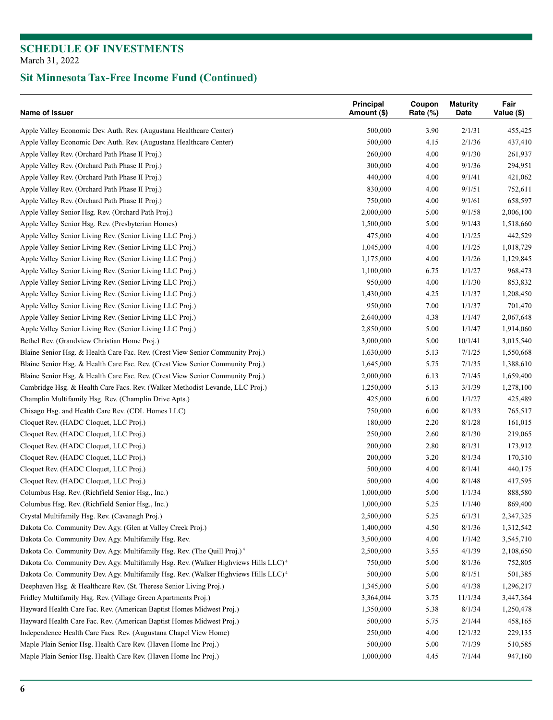| Name of Issuer                                                                                 | Principal<br>Amount (\$) | Coupon<br>Rate (%) | <b>Maturity</b><br>Date | Fair<br>Value (\$) |
|------------------------------------------------------------------------------------------------|--------------------------|--------------------|-------------------------|--------------------|
| Apple Valley Economic Dev. Auth. Rev. (Augustana Healthcare Center)                            | 500,000                  | 3.90               | 2/1/31                  | 455,425            |
| Apple Valley Economic Dev. Auth. Rev. (Augustana Healthcare Center)                            | 500,000                  | 4.15               | 2/1/36                  | 437,410            |
| Apple Valley Rev. (Orchard Path Phase II Proj.)                                                | 260,000                  | 4.00               | 9/1/30                  | 261,937            |
| Apple Valley Rev. (Orchard Path Phase II Proj.)                                                | 300,000                  | 4.00               | 9/1/36                  | 294,951            |
| Apple Valley Rev. (Orchard Path Phase II Proj.)                                                | 440,000                  | 4.00               | 9/1/41                  | 421,062            |
| Apple Valley Rev. (Orchard Path Phase II Proj.)                                                | 830,000                  | 4.00               | 9/1/51                  | 752,611            |
| Apple Valley Rev. (Orchard Path Phase II Proj.)                                                | 750,000                  | 4.00               | 9/1/61                  | 658,597            |
| Apple Valley Senior Hsg. Rev. (Orchard Path Proj.)                                             | 2,000,000                | 5.00               | 9/1/58                  | 2,006,100          |
| Apple Valley Senior Hsg. Rev. (Presbyterian Homes)                                             | 1,500,000                | 5.00               | 9/1/43                  | 1,518,660          |
| Apple Valley Senior Living Rev. (Senior Living LLC Proj.)                                      | 475,000                  | 4.00               | 1/1/25                  | 442,529            |
| Apple Valley Senior Living Rev. (Senior Living LLC Proj.)                                      | 1,045,000                | 4.00               | 1/1/25                  | 1,018,729          |
| Apple Valley Senior Living Rev. (Senior Living LLC Proj.)                                      | 1,175,000                | 4.00               | 1/1/26                  | 1,129,845          |
| Apple Valley Senior Living Rev. (Senior Living LLC Proj.)                                      | 1,100,000                | 6.75               | 1/1/27                  | 968,473            |
| Apple Valley Senior Living Rev. (Senior Living LLC Proj.)                                      | 950,000                  | 4.00               | 1/1/30                  | 853,832            |
| Apple Valley Senior Living Rev. (Senior Living LLC Proj.)                                      | 1,430,000                | 4.25               | 1/1/37                  | 1,208,450          |
| Apple Valley Senior Living Rev. (Senior Living LLC Proj.)                                      | 950,000                  | 7.00               | 1/1/37                  | 701,470            |
| Apple Valley Senior Living Rev. (Senior Living LLC Proj.)                                      | 2,640,000                | 4.38               | 1/1/47                  | 2,067,648          |
| Apple Valley Senior Living Rev. (Senior Living LLC Proj.)                                      | 2,850,000                | 5.00               | 1/1/47                  | 1,914,060          |
| Bethel Rev. (Grandview Christian Home Proj.)                                                   | 3,000,000                | 5.00               | 10/1/41                 | 3,015,540          |
| Blaine Senior Hsg. & Health Care Fac. Rev. (Crest View Senior Community Proj.)                 | 1,630,000                | 5.13               | 7/1/25                  | 1,550,668          |
| Blaine Senior Hsg. & Health Care Fac. Rev. (Crest View Senior Community Proj.)                 | 1,645,000                | 5.75               | 7/1/35                  | 1,388,610          |
| Blaine Senior Hsg. & Health Care Fac. Rev. (Crest View Senior Community Proj.)                 | 2,000,000                | 6.13               | 7/1/45                  | 1,659,400          |
| Cambridge Hsg. & Health Care Facs. Rev. (Walker Methodist Levande, LLC Proj.)                  | 1,250,000                | 5.13               | 3/1/39                  | 1,278,100          |
| Champlin Multifamily Hsg. Rev. (Champlin Drive Apts.)                                          | 425,000                  | 6.00               | 1/1/27                  | 425,489            |
| Chisago Hsg. and Health Care Rev. (CDL Homes LLC)                                              | 750,000                  | 6.00               | 8/1/33                  | 765,517            |
| Cloquet Rev. (HADC Cloquet, LLC Proj.)                                                         | 180,000                  | 2.20               | 8/1/28                  | 161,015            |
| Cloquet Rev. (HADC Cloquet, LLC Proj.)                                                         | 250,000                  | 2.60               | 8/1/30                  | 219,065            |
| Cloquet Rev. (HADC Cloquet, LLC Proj.)                                                         | 200,000                  | 2.80               | 8/1/31                  | 173,912            |
| Cloquet Rev. (HADC Cloquet, LLC Proj.)                                                         | 200,000                  | 3.20               | 8/1/34                  | 170,310            |
| Cloquet Rev. (HADC Cloquet, LLC Proj.)                                                         | 500,000                  | 4.00               | 8/1/41                  | 440,175            |
| Cloquet Rev. (HADC Cloquet, LLC Proj.)                                                         | 500,000                  | 4.00               | 8/1/48                  | 417,595            |
| Columbus Hsg. Rev. (Richfield Senior Hsg., Inc.)                                               | 1,000,000                | 5.00               | 1/1/34                  | 888,580            |
| Columbus Hsg. Rev. (Richfield Senior Hsg., Inc.)                                               | 1,000,000                | 5.25               | 1/1/40                  | 869,400            |
| Crystal Multifamily Hsg. Rev. (Cavanagh Proj.)                                                 | 2,500,000                | 5.25               | 6/1/31                  | 2,347,325          |
| Dakota Co. Community Dev. Agy. (Glen at Valley Creek Proj.)                                    | 1,400,000                | 4.50               | 8/1/36                  | 1,312,542          |
| Dakota Co. Community Dev. Agy. Multifamily Hsg. Rev.                                           | 3,500,000                | $4.00\,$           | 1/1/42                  | 3,545,710          |
| Dakota Co. Community Dev. Agy. Multifamily Hsg. Rev. (The Quill Proj.) <sup>4</sup>            | 2,500,000                | 3.55               | 4/1/39                  | 2,108,650          |
| Dakota Co. Community Dev. Agy. Multifamily Hsg. Rev. (Walker Highviews Hills LLC) <sup>4</sup> | 750,000                  | 5.00               | 8/1/36                  | 752,805            |
| Dakota Co. Community Dev. Agy. Multifamily Hsg. Rev. (Walker Highviews Hills LLC) <sup>4</sup> | 500,000                  | 5.00               | 8/1/51                  | 501,385            |
| Deephaven Hsg. & Healthcare Rev. (St. Therese Senior Living Proj.)                             | 1,345,000                | 5.00               | 4/1/38                  | 1,296,217          |
| Fridley Multifamily Hsg. Rev. (Village Green Apartments Proj.)                                 | 3,364,004                | 3.75               | 11/1/34                 | 3,447,364          |
| Hayward Health Care Fac. Rev. (American Baptist Homes Midwest Proj.)                           | 1,350,000                | 5.38               | 8/1/34                  | 1,250,478          |
| Hayward Health Care Fac. Rev. (American Baptist Homes Midwest Proj.)                           | 500,000                  | 5.75               | 2/1/44                  | 458,165            |
| Independence Health Care Facs. Rev. (Augustana Chapel View Home)                               | 250,000                  | 4.00               | 12/1/32                 | 229,135            |
| Maple Plain Senior Hsg. Health Care Rev. (Haven Home Inc Proj.)                                | 500,000                  | 5.00               | 7/1/39                  | 510,585            |
| Maple Plain Senior Hsg. Health Care Rev. (Haven Home Inc Proj.)                                | 1,000,000                | 4.45               | 7/1/44                  | 947,160            |
|                                                                                                |                          |                    |                         |                    |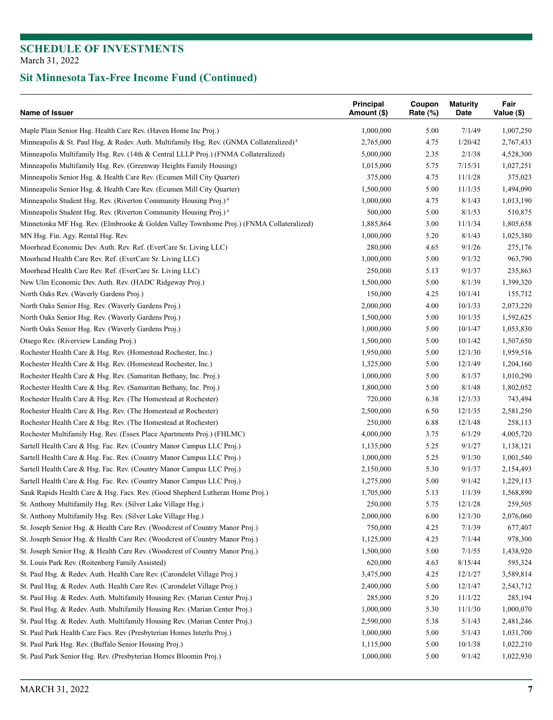| Name of Issuer                                                                                      | Principal<br>Amount (\$) | Coupon<br>Rate (%) | <b>Maturity</b><br>Date | Fair<br>Value (\$) |
|-----------------------------------------------------------------------------------------------------|--------------------------|--------------------|-------------------------|--------------------|
| Maple Plain Senior Hsg. Health Care Rev. (Haven Home Inc Proj.)                                     | 1,000,000                | 5.00               | 7/1/49                  | 1,007,250          |
| Minneapolis & St. Paul Hsg. & Redev. Auth. Multifamily Hsg. Rev. (GNMA Collateralized) <sup>8</sup> | 2,765,000                | 4.75               | 1/20/42                 | 2,767,433          |
| Minneapolis Multifamily Hsg. Rev. (14th & Central LLLP Proj.) (FNMA Collateralized)                 | 5,000,000                | 2.35               | 2/1/38                  | 4,528,300          |
| Minneapolis Multifamily Hsg. Rev. (Greenway Heights Family Housing)                                 | 1,015,000                | 5.75               | 7/15/31                 | 1,027,251          |
| Minneapolis Senior Hsg. & Health Care Rev. (Ecumen Mill City Quarter)                               | 375,000                  | 4.75               | 11/1/28                 | 375,023            |
| Minneapolis Senior Hsg. & Health Care Rev. (Ecumen Mill City Quarter)                               | 1,500,000                | 5.00               | 11/1/35                 | 1,494,090          |
| Minneapolis Student Hsg. Rev. (Riverton Community Housing Proj.) <sup>4</sup>                       | 1,000,000                | 4.75               | 8/1/43                  | 1,013,190          |
| Minneapolis Student Hsg. Rev. (Riverton Community Housing Proj.) <sup>4</sup>                       | 500,000                  | 5.00               | 8/1/53                  | 510,875            |
| Minnetonka MF Hsg. Rev. (Elmbrooke & Golden Valley Townhome Proj.) (FNMA Collateralized)            | 1,885,864                | 3.00               | 11/1/34                 | 1,805,658          |
| MN Hsg. Fin. Agy. Rental Hsg. Rev.                                                                  | 1,000,000                | 5.20               | 8/1/43                  | 1,025,380          |
| Moorhead Economic Dev. Auth. Rev. Ref. (EverCare Sr. Living LLC)                                    | 280,000                  | 4.65               | 9/1/26                  | 275,176            |
| Moorhead Health Care Rev. Ref. (EverCare Sr. Living LLC)                                            | 1,000,000                | 5.00               | 9/1/32                  | 963,790            |
| Moorhead Health Care Rev. Ref. (EverCare Sr. Living LLC)                                            | 250,000                  | 5.13               | 9/1/37                  | 235,863            |
| New Ulm Economic Dev. Auth. Rev. (HADC Ridgeway Proj.)                                              | 1,500,000                | 5.00               | 8/1/39                  | 1,399,320          |
| North Oaks Rev. (Waverly Gardens Proj.)                                                             | 150,000                  | 4.25               | 10/1/41                 | 155,712            |
| North Oaks Senior Hsg. Rev. (Waverly Gardens Proj.)                                                 | 2,000,000                | 4.00               | 10/1/33                 | 2,073,220          |
| North Oaks Senior Hsg. Rev. (Waverly Gardens Proj.)                                                 | 1,500,000                | 5.00               | 10/1/35                 | 1,592,625          |
|                                                                                                     |                          |                    |                         |                    |
| North Oaks Senior Hsg. Rev. (Waverly Gardens Proj.)                                                 | 1,000,000                | 5.00               | 10/1/47                 | 1,053,830          |
| Otsego Rev. (Riverview Landing Proj.)                                                               | 1,500,000                | 5.00               | 10/1/42                 | 1,507,650          |
| Rochester Health Care & Hsg. Rev. (Homestead Rochester, Inc.)                                       | 1,950,000                | 5.00               | 12/1/30                 | 1,959,516          |
| Rochester Health Care & Hsg. Rev. (Homestead Rochester, Inc.)                                       | 1,325,000                | 5.00               | 12/1/49                 | 1,204,160          |
| Rochester Health Care & Hsg. Rev. (Samaritan Bethany, Inc. Proj.)                                   | 1,000,000                | 5.00               | 8/1/37                  | 1,010,290          |
| Rochester Health Care & Hsg. Rev. (Samaritan Bethany, Inc. Proj.)                                   | 1,800,000                | 5.00               | 8/1/48                  | 1,802,052          |
| Rochester Health Care & Hsg. Rev. (The Homestead at Rochester)                                      | 720,000                  | 6.38               | 12/1/33                 | 743,494            |
| Rochester Health Care & Hsg. Rev. (The Homestead at Rochester)                                      | 2,500,000                | 6.50               | 12/1/35                 | 2,581,250          |
| Rochester Health Care & Hsg. Rev. (The Homestead at Rochester)                                      | 250,000                  | 6.88               | 12/1/48                 | 258,113            |
| Rochester Multifamily Hsg. Rev. (Essex Place Apartments Proj.) (FHLMC)                              | 4,000,000                | 3.75               | 6/1/29                  | 4,005,720          |
| Sartell Health Care & Hsg. Fac. Rev. (Country Manor Campus LLC Proj.)                               | 1,135,000                | 5.25               | 9/1/27                  | 1,138,121          |
| Sartell Health Care & Hsg. Fac. Rev. (Country Manor Campus LLC Proj.)                               | 1,000,000                | 5.25               | 9/1/30                  | 1,001,540          |
| Sartell Health Care & Hsg. Fac. Rev. (Country Manor Campus LLC Proj.)                               | 2,150,000                | 5.30               | 9/1/37                  | 2,154,493          |
| Sartell Health Care & Hsg. Fac. Rev. (Country Manor Campus LLC Proj.)                               | 1,275,000                | 5.00               | 9/1/42                  | 1,229,113          |
| Sauk Rapids Health Care & Hsg. Facs. Rev. (Good Shepherd Lutheran Home Proj.)                       | 1,705,000                | 5.13               | 1/1/39                  | 1,568,890          |
| St. Anthony Multifamily Hsg. Rev. (Silver Lake Village Hsg.)                                        | 250,000                  | 5.75               | 12/1/28                 | 259,505            |
| St. Anthony Multifamily Hsg. Rev. (Silver Lake Village Hsg.)                                        | 2,000,000                | 6.00               | 12/1/30                 | 2,076,060          |
| St. Joseph Senior Hsg. & Health Care Rev. (Woodcrest of Country Manor Proj.)                        | 750,000                  | 4.25               | 7/1/39                  | 677,407            |
| St. Joseph Senior Hsg. & Health Care Rev. (Woodcrest of Country Manor Proj.)                        | 1,125,000                | 4.25               | 7/1/44                  | 978,300            |
| St. Joseph Senior Hsg. & Health Care Rev. (Woodcrest of Country Manor Proj.)                        | 1,500,000                | 5.00               | 7/1/55                  | 1,438,920          |
| St. Louis Park Rev. (Roitenberg Family Assisted)                                                    | 620,000                  | 4.63               | 8/15/44                 | 595,324            |
| St. Paul Hsg. & Redev. Auth. Health Care Rev. (Carondelet Village Proj.)                            | 3,475,000                | 4.25               | 12/1/27                 | 3,589,814          |
| St. Paul Hsg. & Redev. Auth. Health Care Rev. (Carondelet Village Proj.)                            | 2,400,000                | 5.00               | 12/1/47                 | 2,543,712          |
| St. Paul Hsg. & Redev. Auth. Multifamily Housing Rev. (Marian Center Proj.)                         | 285,000                  | 5.20               | 11/1/22                 | 285,194            |
| St. Paul Hsg. & Redev. Auth. Multifamily Housing Rev. (Marian Center Proj.)                         | 1,000,000                | 5.30               | 11/1/30                 | 1,000,070          |
| St. Paul Hsg. & Redev. Auth. Multifamily Housing Rev. (Marian Center Proj.)                         | 2,590,000                | 5.38               | 5/1/43                  | 2,481,246          |
| St. Paul Park Health Care Facs. Rev (Presbyterian Homes Interlu Proj.)                              | 1,000,000                | 5.00               | 5/1/43                  | 1,031,700          |
| St. Paul Park Hsg. Rev. (Buffalo Senior Housing Proj.)                                              | 1,115,000                | 5.00               | 10/1/38                 | 1,022,210          |
|                                                                                                     |                          |                    |                         |                    |
| St. Paul Park Senior Hsg. Rev. (Presbyterian Homes Bloomin Proj.)                                   | 1,000,000                | 5.00               | 9/1/42                  | 1,022,930          |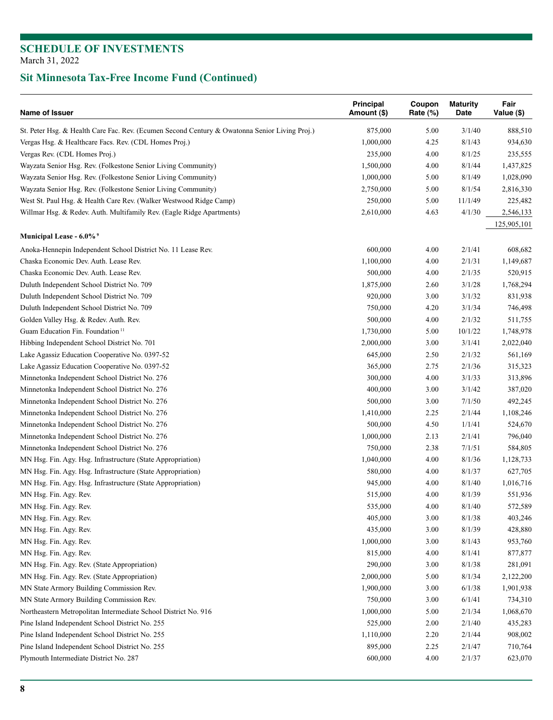| Name of Issuer                                                                                | Principal<br>Amount (\$) | Coupon<br>Rate (%) | <b>Maturity</b><br>Date | Fair<br>Value (\$) |
|-----------------------------------------------------------------------------------------------|--------------------------|--------------------|-------------------------|--------------------|
| St. Peter Hsg. & Health Care Fac. Rev. (Ecumen Second Century & Owatonna Senior Living Proj.) | 875,000                  | 5.00               | 3/1/40                  | 888,510            |
| Vergas Hsg. & Healthcare Facs. Rev. (CDL Homes Proj.)                                         | 1,000,000                | 4.25               | 8/1/43                  | 934,630            |
| Vergas Rev. (CDL Homes Proj.)                                                                 | 235,000                  | 4.00               | 8/1/25                  | 235,555            |
| Wayzata Senior Hsg. Rev. (Folkestone Senior Living Community)                                 | 1,500,000                | 4.00               | 8/1/44                  | 1,437,825          |
| Wayzata Senior Hsg. Rev. (Folkestone Senior Living Community)                                 | 1,000,000                | 5.00               | 8/1/49                  | 1,028,090          |
| Wayzata Senior Hsg. Rev. (Folkestone Senior Living Community)                                 | 2,750,000                | 5.00               | 8/1/54                  | 2,816,330          |
| West St. Paul Hsg. & Health Care Rev. (Walker Westwood Ridge Camp)                            | 250,000                  | 5.00               | 11/1/49                 | 225,482            |
| Willmar Hsg. & Redev. Auth. Multifamily Rev. (Eagle Ridge Apartments)                         | 2,610,000                | 4.63               | 4/1/30                  | 2,546,133          |
| Municipal Lease - 6.0% <sup>9</sup>                                                           |                          |                    |                         | 125,905,101        |
| Anoka-Hennepin Independent School District No. 11 Lease Rev.                                  | 600,000                  | 4.00               | 2/1/41                  | 608,682            |
| Chaska Economic Dev. Auth. Lease Rev.                                                         | 1,100,000                | 4.00               | 2/1/31                  | 1,149,687          |
| Chaska Economic Dev. Auth. Lease Rev.                                                         | 500,000                  | 4.00               | 2/1/35                  | 520,915            |
|                                                                                               |                          |                    |                         |                    |
| Duluth Independent School District No. 709                                                    | 1,875,000                | 2.60               | 3/1/28                  | 1,768,294          |
| Duluth Independent School District No. 709                                                    | 920,000                  | 3.00               | 3/1/32                  | 831,938            |
| Duluth Independent School District No. 709                                                    | 750,000                  | 4.20               | 3/1/34                  | 746,498            |
| Golden Valley Hsg. & Redev. Auth. Rev.                                                        | 500,000                  | 4.00               | 2/1/32                  | 511,755            |
| Guam Education Fin. Foundation <sup>11</sup>                                                  | 1,730,000                | 5.00               | 10/1/22                 | 1,748,978          |
| Hibbing Independent School District No. 701                                                   | 2,000,000                | 3.00               | 3/1/41                  | 2,022,040          |
| Lake Agassiz Education Cooperative No. 0397-52                                                | 645,000                  | 2.50               | 2/1/32                  | 561,169            |
| Lake Agassiz Education Cooperative No. 0397-52                                                | 365,000                  | 2.75               | 2/1/36                  | 315,323            |
| Minnetonka Independent School District No. 276                                                | 300,000                  | 4.00               | 3/1/33                  | 313,896            |
| Minnetonka Independent School District No. 276                                                | 400,000                  | 3.00               | 3/1/42                  | 387,020            |
| Minnetonka Independent School District No. 276                                                | 500,000                  | 3.00               | 7/1/50                  | 492,245            |
| Minnetonka Independent School District No. 276                                                | 1,410,000                | 2.25               | 2/1/44                  | 1,108,246          |
| Minnetonka Independent School District No. 276                                                | 500,000                  | 4.50               | 1/1/41                  | 524,670            |
| Minnetonka Independent School District No. 276                                                | 1,000,000                | 2.13               | 2/1/41                  | 796,040            |
| Minnetonka Independent School District No. 276                                                | 750,000                  | 2.38               | 7/1/51                  | 584,805            |
| MN Hsg. Fin. Agy. Hsg. Infrastructure (State Appropriation)                                   | 1,040,000                | 4.00               | 8/1/36                  | 1,128,733          |
| MN Hsg. Fin. Agy. Hsg. Infrastructure (State Appropriation)                                   | 580,000                  | 4.00               | 8/1/37                  | 627,705            |
| MN Hsg. Fin. Agy. Hsg. Infrastructure (State Appropriation)                                   | 945,000                  | 4.00               | 8/1/40                  | 1,016,716          |
| MN Hsg. Fin. Agy. Rev.                                                                        | 515,000                  | 4.00               | 8/1/39                  | 551,936            |
| MN Hsg. Fin. Agy. Rev.                                                                        | 535,000                  | 4.00               | 8/1/40                  | 572,589            |
| MN Hsg. Fin. Agy. Rev.                                                                        | 405,000                  | 3.00               | 8/1/38                  | 403,246            |
| MN Hsg. Fin. Agy. Rev.                                                                        | 435,000                  | 3.00               | 8/1/39                  | 428,880            |
| MN Hsg. Fin. Agy. Rev.                                                                        | 1,000,000                | 3.00               | 8/1/43                  | 953,760            |
| MN Hsg. Fin. Agy. Rev.                                                                        | 815,000                  | 4.00               | 8/1/41                  | 877,877            |
| MN Hsg. Fin. Agy. Rev. (State Appropriation)                                                  | 290,000                  | 3.00               | 8/1/38                  | 281,091            |
| MN Hsg. Fin. Agy. Rev. (State Appropriation)                                                  | 2,000,000                | 5.00               | 8/1/34                  | 2,122,200          |
| MN State Armory Building Commission Rev.                                                      | 1,900,000                | 3.00               | 6/1/38                  | 1,901,938          |
| MN State Armory Building Commission Rev.                                                      | 750,000                  | 3.00               | 6/1/41                  | 734,310            |
| Northeastern Metropolitan Intermediate School District No. 916                                | 1,000,000                | 5.00               | 2/1/34                  | 1,068,670          |
| Pine Island Independent School District No. 255                                               | 525,000                  | 2.00               | 2/1/40                  | 435,283            |
| Pine Island Independent School District No. 255                                               | 1,110,000                | 2.20               | 2/1/44                  | 908,002            |
| Pine Island Independent School District No. 255                                               | 895,000                  | 2.25               | 2/1/47                  | 710,764            |
| Plymouth Intermediate District No. 287                                                        | 600,000                  | 4.00               | 2/1/37                  | 623,070            |
|                                                                                               |                          |                    |                         |                    |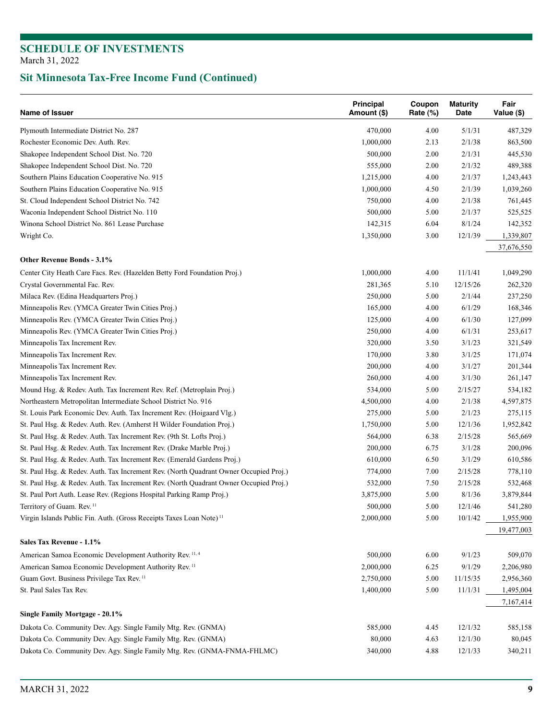| Name of Issuer                                                                                                                                                | <b>Principal</b><br>Amount (\$) | Coupon<br>Rate (%) | <b>Maturity</b><br>Date | Fair<br>Value (\$)   |
|---------------------------------------------------------------------------------------------------------------------------------------------------------------|---------------------------------|--------------------|-------------------------|----------------------|
| Plymouth Intermediate District No. 287                                                                                                                        | 470,000                         | 4.00               | 5/1/31                  | 487,329              |
| Rochester Economic Dev. Auth. Rev.                                                                                                                            | 1,000,000                       | 2.13               | 2/1/38                  | 863,500              |
| Shakopee Independent School Dist. No. 720                                                                                                                     | 500,000                         | 2.00               | 2/1/31                  | 445,530              |
| Shakopee Independent School Dist. No. 720                                                                                                                     | 555,000                         | 2.00               | 2/1/32                  | 489,388              |
| Southern Plains Education Cooperative No. 915                                                                                                                 | 1,215,000                       | 4.00               | 2/1/37                  | 1,243,443            |
| Southern Plains Education Cooperative No. 915                                                                                                                 | 1,000,000                       | 4.50               | 2/1/39                  | 1,039,260            |
| St. Cloud Independent School District No. 742                                                                                                                 | 750,000                         | 4.00               | 2/1/38                  | 761,445              |
| Waconia Independent School District No. 110                                                                                                                   | 500,000                         | 5.00               | 2/1/37                  | 525,525              |
| Winona School District No. 861 Lease Purchase                                                                                                                 | 142,315                         | 6.04               | 8/1/24                  | 142,352              |
| Wright Co.                                                                                                                                                    | 1,350,000                       | 3.00               | 12/1/39                 | 1,339,807            |
| Other Revenue Bonds - 3.1%                                                                                                                                    |                                 |                    |                         | 37,676,550           |
| Center City Heath Care Facs. Rev. (Hazelden Betty Ford Foundation Proj.)                                                                                      | 1,000,000                       | 4.00               | 11/1/41                 | 1,049,290            |
|                                                                                                                                                               | 281,365                         | 5.10               | 12/15/26                |                      |
| Crystal Governmental Fac. Rev.<br>Milaca Rev. (Edina Headquarters Proj.)                                                                                      | 250,000                         | 5.00               | 2/1/44                  | 262,320<br>237,250   |
| Minneapolis Rev. (YMCA Greater Twin Cities Proj.)                                                                                                             | 165,000                         | 4.00               | 6/1/29                  | 168,346              |
| Minneapolis Rev. (YMCA Greater Twin Cities Proj.)                                                                                                             | 125,000                         | 4.00               | 6/1/30                  | 127,099              |
| Minneapolis Rev. (YMCA Greater Twin Cities Proj.)                                                                                                             | 250,000                         | 4.00               | 6/1/31                  | 253,617              |
| Minneapolis Tax Increment Rev.                                                                                                                                | 320,000                         | 3.50               | 3/1/23                  | 321,549              |
|                                                                                                                                                               |                                 |                    | 3/1/25                  |                      |
| Minneapolis Tax Increment Rev.                                                                                                                                | 170,000                         | 3.80               | 3/1/27                  | 171,074              |
| Minneapolis Tax Increment Rev.                                                                                                                                | 200,000                         | 4.00               | 3/1/30                  | 201,344              |
| Minneapolis Tax Increment Rev.                                                                                                                                | 260,000                         | 4.00               | 2/15/27                 | 261,147              |
| Mound Hsg. & Redev. Auth. Tax Increment Rev. Ref. (Metroplain Proj.)                                                                                          | 534,000                         | 5.00               |                         | 534,182              |
| Northeastern Metropolitan Intermediate School District No. 916                                                                                                | 4,500,000                       | 4.00               | 2/1/38                  | 4,597,875            |
| St. Louis Park Economic Dev. Auth. Tax Increment Rev. (Hoigaard Vlg.)                                                                                         | 275,000                         | 5.00               | 2/1/23                  | 275,115              |
| St. Paul Hsg. & Redev. Auth. Rev. (Amherst H Wilder Foundation Proj.)                                                                                         | 1,750,000                       | 5.00               | 12/1/36                 | 1,952,842            |
| St. Paul Hsg. & Redev. Auth. Tax Increment Rev. (9th St. Lofts Proj.)                                                                                         | 564,000                         | 6.38               | 2/15/28                 | 565,669              |
| St. Paul Hsg. & Redev. Auth. Tax Increment Rev. (Drake Marble Proj.)                                                                                          | 200,000                         | 6.75               | 3/1/28                  | 200,096              |
| St. Paul Hsg. & Redev. Auth. Tax Increment Rev. (Emerald Gardens Proj.)                                                                                       | 610,000                         | 6.50               | 3/1/29                  | 610,586              |
| St. Paul Hsg. & Redev. Auth. Tax Increment Rev. (North Quadrant Owner Occupied Proj.)                                                                         | 774,000<br>532,000              | 7.00               | 2/15/28                 | 778,110              |
| St. Paul Hsg. & Redev. Auth. Tax Increment Rev. (North Quadrant Owner Occupied Proj.)<br>St. Paul Port Auth. Lease Rev. (Regions Hospital Parking Ramp Proj.) | 3,875,000                       | 7.50<br>5.00       | 2/15/28<br>8/1/36       | 532,468<br>3,879,844 |
|                                                                                                                                                               |                                 |                    |                         |                      |
| Territory of Guam. Rev. <sup>11</sup><br>Virgin Islands Public Fin. Auth. (Gross Receipts Taxes Loan Note) <sup>11</sup>                                      | 500,000<br>2,000,000            | 5.00<br>5.00       | 12/1/46<br>10/1/42      | 541,280<br>1,955,900 |
|                                                                                                                                                               |                                 |                    |                         | 19,477,003           |
| Sales Tax Revenue - 1.1%                                                                                                                                      |                                 |                    |                         |                      |
| American Samoa Economic Development Authority Rev. 11, 4                                                                                                      | 500,000                         | 6.00               | 9/1/23                  | 509,070              |
| American Samoa Economic Development Authority Rev. <sup>11</sup>                                                                                              | 2,000,000                       | 6.25               | 9/1/29                  | 2,206,980            |
| Guam Govt. Business Privilege Tax Rev. <sup>11</sup>                                                                                                          | 2,750,000                       | 5.00               | 11/15/35                | 2,956,360            |
| St. Paul Sales Tax Rev.                                                                                                                                       | 1,400,000                       | 5.00               | 11/1/31                 | 1,495,004            |
|                                                                                                                                                               |                                 |                    |                         | 7,167,414            |
| Single Family Mortgage - 20.1%                                                                                                                                |                                 |                    |                         |                      |
| Dakota Co. Community Dev. Agy. Single Family Mtg. Rev. (GNMA)                                                                                                 | 585,000                         | 4.45               | 12/1/32                 | 585,158              |
| Dakota Co. Community Dev. Agy. Single Family Mtg. Rev. (GNMA)                                                                                                 | 80,000                          | 4.63               | 12/1/30                 | 80,045               |
| Dakota Co. Community Dev. Agy. Single Family Mtg. Rev. (GNMA-FNMA-FHLMC)                                                                                      | 340,000                         | 4.88               | 12/1/33                 | 340,211              |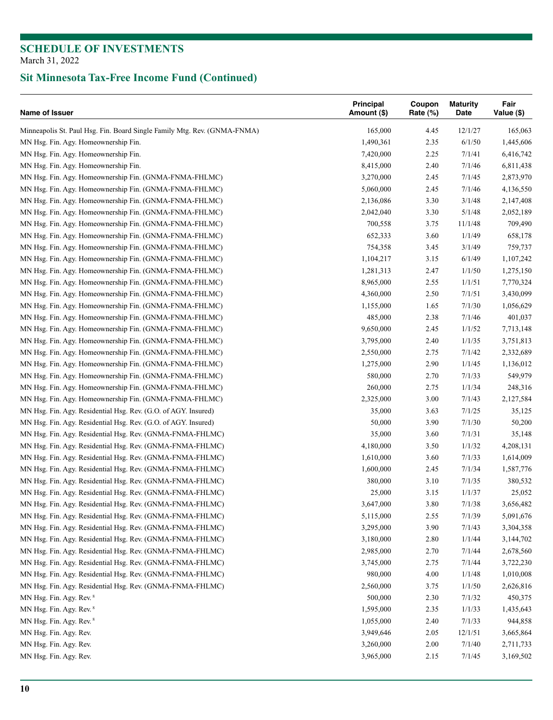| Name of Issuer                                                           | Principal<br>Amount (\$) | Coupon<br>Rate (%) | <b>Maturity</b><br>Date | Fair<br>Value (\$) |
|--------------------------------------------------------------------------|--------------------------|--------------------|-------------------------|--------------------|
| Minneapolis St. Paul Hsg. Fin. Board Single Family Mtg. Rev. (GNMA-FNMA) | 165,000                  | 4.45               | 12/1/27                 | 165,063            |
| MN Hsg. Fin. Agy. Homeownership Fin.                                     | 1,490,361                | 2.35               | 6/1/50                  | 1,445,606          |
| MN Hsg. Fin. Agy. Homeownership Fin.                                     | 7,420,000                | 2.25               | 7/1/41                  | 6,416,742          |
| MN Hsg. Fin. Agy. Homeownership Fin.                                     | 8,415,000                | 2.40               | 7/1/46                  | 6,811,438          |
| MN Hsg. Fin. Agy. Homeownership Fin. (GNMA-FNMA-FHLMC)                   | 3,270,000                | 2.45               | 7/1/45                  | 2,873,970          |
| MN Hsg. Fin. Agy. Homeownership Fin. (GNMA-FNMA-FHLMC)                   | 5,060,000                | 2.45               | 7/1/46                  | 4,136,550          |
| MN Hsg. Fin. Agy. Homeownership Fin. (GNMA-FNMA-FHLMC)                   | 2,136,086                | 3.30               | 3/1/48                  | 2,147,408          |
| MN Hsg. Fin. Agy. Homeownership Fin. (GNMA-FNMA-FHLMC)                   | 2,042,040                | 3.30               | 5/1/48                  | 2,052,189          |
| MN Hsg. Fin. Agy. Homeownership Fin. (GNMA-FNMA-FHLMC)                   | 700,558                  | 3.75               | 11/1/48                 | 709,490            |
| MN Hsg. Fin. Agy. Homeownership Fin. (GNMA-FNMA-FHLMC)                   | 652,333                  | 3.60               | 1/1/49                  | 658,178            |
| MN Hsg. Fin. Agy. Homeownership Fin. (GNMA-FNMA-FHLMC)                   | 754,358                  | 3.45               | 3/1/49                  | 759,737            |
| MN Hsg. Fin. Agy. Homeownership Fin. (GNMA-FNMA-FHLMC)                   | 1,104,217                | 3.15               | 6/1/49                  | 1,107,242          |
| MN Hsg. Fin. Agy. Homeownership Fin. (GNMA-FNMA-FHLMC)                   | 1,281,313                | 2.47               | 1/1/50                  | 1,275,150          |
| MN Hsg. Fin. Agy. Homeownership Fin. (GNMA-FNMA-FHLMC)                   | 8,965,000                | 2.55               | 1/1/51                  | 7,770,324          |
| MN Hsg. Fin. Agy. Homeownership Fin. (GNMA-FNMA-FHLMC)                   | 4,360,000                | 2.50               | 7/1/51                  | 3,430,099          |
| MN Hsg. Fin. Agy. Homeownership Fin. (GNMA-FNMA-FHLMC)                   | 1,155,000                | 1.65               | 7/1/30                  | 1,056,629          |
| MN Hsg. Fin. Agy. Homeownership Fin. (GNMA-FNMA-FHLMC)                   | 485,000                  | 2.38               | 7/1/46                  | 401,037            |
| MN Hsg. Fin. Agy. Homeownership Fin. (GNMA-FNMA-FHLMC)                   | 9,650,000                | 2.45               | 1/1/52                  | 7,713,148          |
| MN Hsg. Fin. Agy. Homeownership Fin. (GNMA-FNMA-FHLMC)                   | 3,795,000                | 2.40               | 1/1/35                  | 3,751,813          |
| MN Hsg. Fin. Agy. Homeownership Fin. (GNMA-FNMA-FHLMC)                   | 2,550,000                | 2.75               | 7/1/42                  | 2,332,689          |
| MN Hsg. Fin. Agy. Homeownership Fin. (GNMA-FNMA-FHLMC)                   | 1,275,000                | 2.90               | 1/1/45                  | 1,136,012          |
| MN Hsg. Fin. Agy. Homeownership Fin. (GNMA-FNMA-FHLMC)                   | 580,000                  | 2.70               | 7/1/33                  | 549,979            |
| MN Hsg. Fin. Agy. Homeownership Fin. (GNMA-FNMA-FHLMC)                   | 260,000                  | 2.75               | 1/1/34                  | 248,316            |
| MN Hsg. Fin. Agy. Homeownership Fin. (GNMA-FNMA-FHLMC)                   | 2,325,000                | 3.00               | 7/1/43                  | 2,127,584          |
| MN Hsg. Fin. Agy. Residential Hsg. Rev. (G.O. of AGY. Insured)           | 35,000                   | 3.63               | 7/1/25                  | 35,125             |
| MN Hsg. Fin. Agy. Residential Hsg. Rev. (G.O. of AGY. Insured)           | 50,000                   | 3.90               | 7/1/30                  | 50,200             |
| MN Hsg. Fin. Agy. Residential Hsg. Rev. (GNMA-FNMA-FHLMC)                | 35,000                   | 3.60               | 7/1/31                  | 35,148             |
| MN Hsg. Fin. Agy. Residential Hsg. Rev. (GNMA-FNMA-FHLMC)                | 4,180,000                | 3.50               | 1/1/32                  | 4,208,131          |
| MN Hsg. Fin. Agy. Residential Hsg. Rev. (GNMA-FNMA-FHLMC)                | 1,610,000                | 3.60               | 7/1/33                  | 1,614,009          |
| MN Hsg. Fin. Agy. Residential Hsg. Rev. (GNMA-FNMA-FHLMC)                | 1,600,000                | 2.45               | 7/1/34                  | 1,587,776          |
| MN Hsg. Fin. Agy. Residential Hsg. Rev. (GNMA-FNMA-FHLMC)                | 380,000                  | 3.10               | 7/1/35                  | 380,532            |
| MN Hsg. Fin. Agy. Residential Hsg. Rev. (GNMA-FNMA-FHLMC)                | 25,000                   | 3.15               | 1/1/37                  | 25,052             |
| MN Hsg. Fin. Agy. Residential Hsg. Rev. (GNMA-FNMA-FHLMC)                | 3,647,000                | 3.80               | 7/1/38                  | 3,656,482          |
| MN Hsg. Fin. Agy. Residential Hsg. Rev. (GNMA-FNMA-FHLMC)                | 5,115,000                | 2.55               | 7/1/39                  | 5,091,676          |
| MN Hsg. Fin. Agy. Residential Hsg. Rev. (GNMA-FNMA-FHLMC)                | 3,295,000                | 3.90               | 7/1/43                  | 3,304,358          |
| MN Hsg. Fin. Agy. Residential Hsg. Rev. (GNMA-FNMA-FHLMC)                | 3,180,000                | 2.80               | 1/1/44                  | 3,144,702          |
| MN Hsg. Fin. Agy. Residential Hsg. Rev. (GNMA-FNMA-FHLMC)                | 2,985,000                | 2.70               | 7/1/44                  | 2,678,560          |
| MN Hsg. Fin. Agy. Residential Hsg. Rev. (GNMA-FNMA-FHLMC)                | 3,745,000                | 2.75               | 7/1/44                  | 3,722,230          |
| MN Hsg. Fin. Agy. Residential Hsg. Rev. (GNMA-FNMA-FHLMC)                | 980,000                  | 4.00               | 1/1/48                  | 1,010,008          |
| MN Hsg. Fin. Agy. Residential Hsg. Rev. (GNMA-FNMA-FHLMC)                | 2,560,000                | 3.75               | 1/1/50                  | 2,626,816          |
| MN Hsg. Fin. Agy. Rev. 8                                                 | 500,000                  | 2.30               | 7/1/32                  | 450,375            |
| MN Hsg. Fin. Agy. Rev. 8                                                 | 1,595,000                | 2.35               | 1/1/33                  | 1,435,643          |
| MN Hsg. Fin. Agy. Rev. 8                                                 | 1,055,000                | 2.40               | 7/1/33                  | 944,858            |
| MN Hsg. Fin. Agy. Rev.                                                   | 3,949,646                | 2.05               | 12/1/51                 | 3,665,864          |
| MN Hsg. Fin. Agy. Rev.                                                   | 3,260,000                | 2.00               | 7/1/40                  | 2,711,733          |
| MN Hsg. Fin. Agy. Rev.                                                   | 3,965,000                | 2.15               | 7/1/45                  | 3,169,502          |
|                                                                          |                          |                    |                         |                    |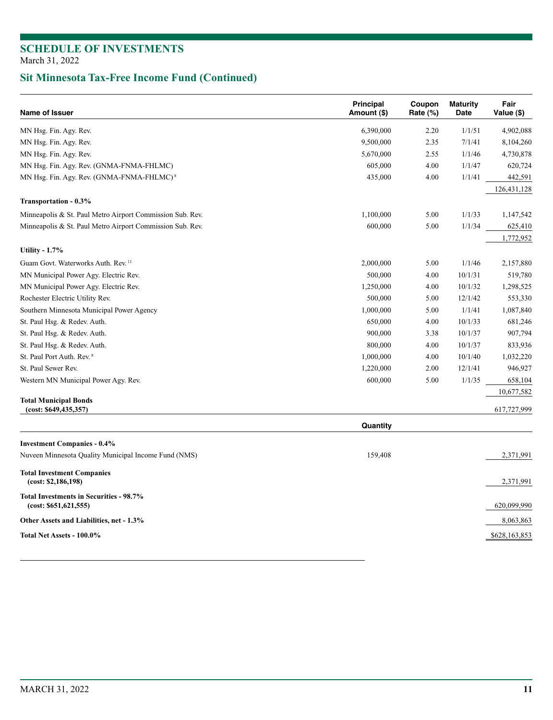| Name of Issuer                                                          | <b>Principal</b><br>Amount (\$) | Coupon<br>Rate (%) | <b>Maturity</b><br>Date | Fair<br>Value (\$) |
|-------------------------------------------------------------------------|---------------------------------|--------------------|-------------------------|--------------------|
| MN Hsg. Fin. Agy. Rev.                                                  | 6,390,000                       | 2.20               | 1/1/51                  | 4,902,088          |
| MN Hsg. Fin. Agy. Rev.                                                  | 9,500,000                       | 2.35               | 7/1/41                  | 8,104,260          |
| MN Hsg. Fin. Agy. Rev.                                                  | 5,670,000                       | 2.55               | 1/1/46                  | 4,730,878          |
| MN Hsg. Fin. Agy. Rev. (GNMA-FNMA-FHLMC)                                | 605,000                         | 4.00               | 1/1/47                  | 620,724            |
| MN Hsg. Fin. Agy. Rev. (GNMA-FNMA-FHLMC) <sup>8</sup>                   | 435,000                         | 4.00               | 1/1/41                  | 442,591            |
|                                                                         |                                 |                    |                         | 126, 431, 128      |
| Transportation - 0.3%                                                   |                                 |                    |                         |                    |
| Minneapolis & St. Paul Metro Airport Commission Sub. Rev.               | 1,100,000                       | 5.00               | 1/1/33                  | 1,147,542          |
| Minneapolis & St. Paul Metro Airport Commission Sub. Rev.               | 600,000                         | 5.00               | 1/1/34                  | 625,410            |
|                                                                         |                                 |                    |                         | 1,772,952          |
| Utility - $1.7\%$                                                       |                                 |                    |                         |                    |
| Guam Govt. Waterworks Auth. Rev. <sup>11</sup>                          | 2,000,000                       | 5.00               | 1/1/46                  | 2,157,880          |
| MN Municipal Power Agy. Electric Rev.                                   | 500,000                         | 4.00               | 10/1/31                 | 519,780            |
| MN Municipal Power Agy. Electric Rev.                                   | 1,250,000                       | 4.00               | 10/1/32                 | 1,298,525          |
| Rochester Electric Utility Rev.                                         | 500,000                         | 5.00               | 12/1/42                 | 553,330            |
| Southern Minnesota Municipal Power Agency                               | 1,000,000                       | 5.00               | 1/1/41                  | 1,087,840          |
| St. Paul Hsg. & Redev. Auth.                                            | 650,000                         | 4.00               |                         | 681,246            |
| St. Paul Hsg. & Redev. Auth.                                            | 900,000                         | 3.38               |                         | 907,794            |
| St. Paul Hsg. & Redev. Auth.                                            | 800,000                         | 4.00               | 10/1/37                 | 833,936            |
| St. Paul Port Auth. Rev. 8                                              | 1,000,000                       | 4.00               | 10/1/40                 | 1,032,220          |
| St. Paul Sewer Rev.                                                     | 1,220,000                       | 2.00               | 12/1/41                 | 946,927            |
| Western MN Municipal Power Agy. Rev.                                    | 600,000                         | 5.00               | 1/1/35                  | 658,104            |
|                                                                         |                                 |                    |                         | 10,677,582         |
| <b>Total Municipal Bonds</b><br>(cost: \$649,435,357)                   |                                 |                    |                         | 617,727,999        |
|                                                                         | Quantity                        |                    |                         |                    |
| <b>Investment Companies - 0.4%</b>                                      |                                 |                    |                         |                    |
| Nuveen Minnesota Quality Municipal Income Fund (NMS)                    | 159,408                         |                    |                         | 2,371,991          |
| <b>Total Investment Companies</b><br>(cost: \$2,186,198)                |                                 |                    |                         | 2,371,991          |
| <b>Total Investments in Securities - 98.7%</b><br>(cost: \$651,621,555) |                                 |                    |                         | 620,099,990        |
| Other Assets and Liabilities, net - 1.3%                                |                                 |                    |                         | 8,063,863          |
| Total Net Assets - 100.0%                                               |                                 |                    |                         | \$628,163,853      |
|                                                                         |                                 |                    |                         |                    |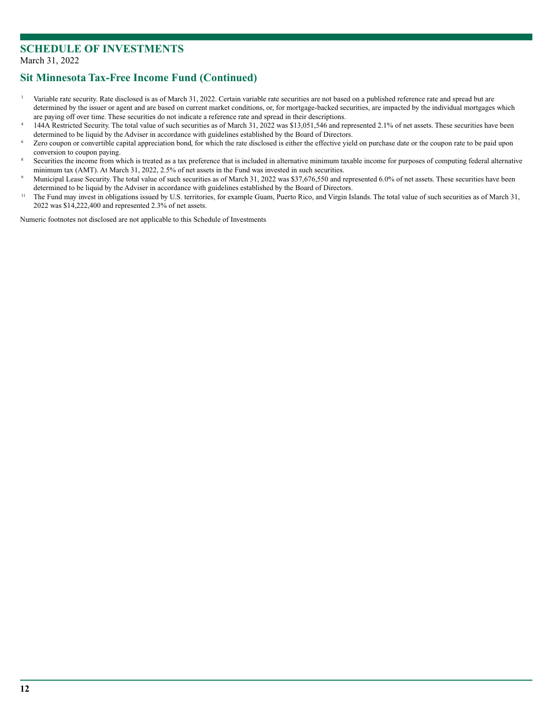### **Sit Minnesota Tax-Free Income Fund (Continued)**

- <sup>1</sup> Variable rate security. Rate disclosed is as of March 31, 2022. Certain variable rate securities are not based on a published reference rate and spread but are determined by the issuer or agent and are based on current market conditions, or, for mortgage-backed securities, are impacted by the individual mortgages which
- are paying off over time. These securities do not indicate a reference rate and spread in their descriptions.<br>144A Restricted Security. The total value of such securities as of March 31, 2022 was \$13,051,546 and represente determined to be liquid by the Adviser in accordance with guidelines established by the Board of Directors.<br>Zero coupon or convertible capital appreciation bond, for which the rate disclosed is either the effective yield o
- 
- conversion to coupon paying.<br>Securities the income from which is treated as a tax preference that is included in alternative minimum taxable income for purposes of computing federal alternative
- minimum tax (AMT). At March 31, 2022, 2.5% of net assets in the Fund was invested in such securities.<br>Municipal Lease Security. The total value of such securities as of March 31, 2022 was \$37,676,550 and represented 6.0% o determined to be liquid by the Adviser in accordance with guidelines established by the Board of Directors.<br><sup>11</sup> The Fund may invest in obligations issued by U.S. territories, for example Guam, Puerto Rico, and Virgin Isla
- 2022 was \$14,222,400 and represented 2.3% of net assets.

Numeric footnotes not disclosed are not applicable to this Schedule of Investments*.*